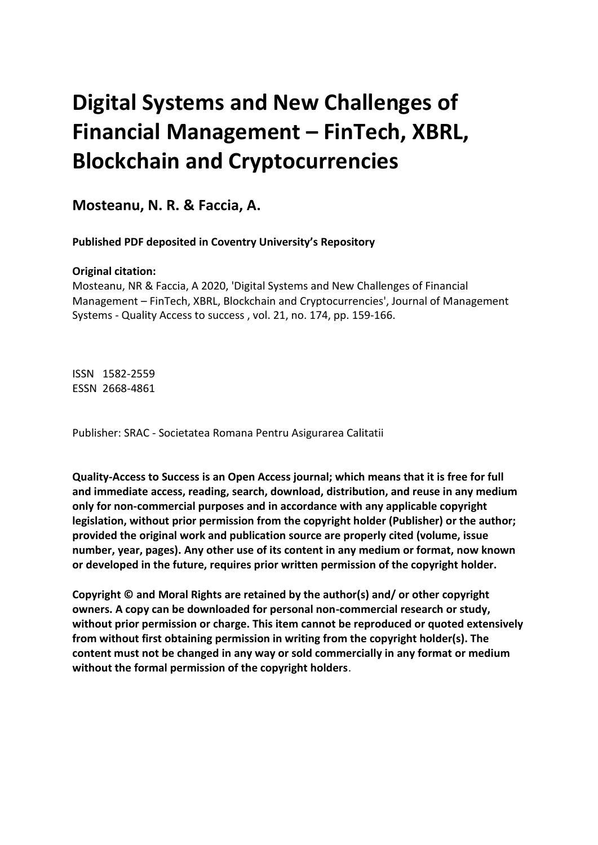# **Digital Systems and New Challenges of Financial Management – FinTech, XBRL, Blockchain and Cryptocurrencies**

**Mosteanu, N. R. & Faccia, A.** 

 **Published PDF deposited in Coventry University's Repository**

# **Original citation:**

 Mosteanu, NR & Faccia, A 2020, 'Digital Systems and New Challenges of Financial Management – FinTech, XBRL, Blockchain and Cryptocurrencies', Journal of Management Systems - Quality Access to success , vol. 21, no. 174, pp. 159-166.

 ISSN 1582-2559 ESSN 2668-4861

Publisher: SRAC - Societatea Romana Pentru Asigurarea Calitatii

 **Quality-Access to Success is an Open Access journal; which means that it is free for full and immediate access, reading, search, download, distribution, and reuse in any medium only for non-commercial purposes and in accordance with any applicable copyright legislation, without prior permission from the copyright holder (Publisher) or the author; provided the original work and publication source are properly cited (volume, issue number, year, pages). Any other use of its content in any medium or format, now known or developed in the future, requires prior written permission of the copyright holder.** 

 **Copyright © and Moral Rights are retained by the author(s) and/ or other copyright owners. A copy can be downloaded for personal non-commercial research or study, without prior permission or charge. This item cannot be reproduced or quoted extensively from without first obtaining permission in writing from the copyright holder(s). The content must not be changed in any way or sold commercially in any format or medium without the formal permission of the copyright holders**.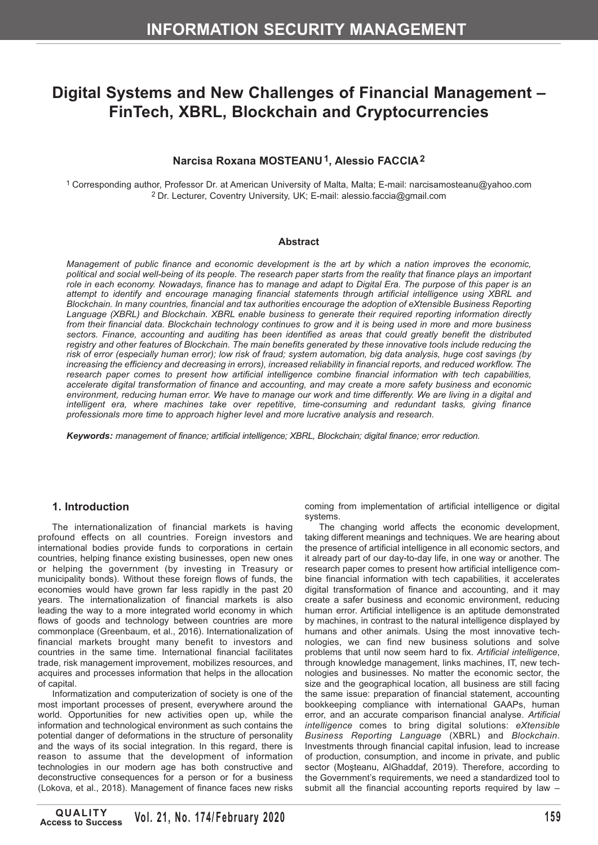# **Digital Systems and New Challenges of Financial Management – FinTech, XBRL, Blockchain and Cryptocurrencies**

# **Narcisa Roxana MOSTEANU1, Alessio FACCIA2**

1 Corresponding author, Professor Dr. at American University of Malta, Malta; E-mail: [narcisamosteanu@yahoo.com](mailto:narcisamosteanu@yahoo.com) 2 Dr. Lecturer, Coventry University, UK; E-mail: [alessio.faccia@gmail.com](mailto:alessio.faccia@gmail.com)

#### **Abstract**

*Management of public finance and economic development is the art by which a nation improves the economic, political and social well-being of its people. The research paper starts from the reality that finance plays an important role in each economy. Nowadays, finance has to manage and adapt to Digital Era. The purpose of this paper is an attempt to identify and encourage managing financial statements through artificial intelligence using XBRL and Blockchain. In many countries, financial and tax authorities encourage the adoption of eXtensible Business Reporting Language (XBRL) and Blockchain. XBRL enable business to generate their required reporting information directly from their financial data. Blockchain technology continues to grow and it is being used in more and more business*  sectors. Finance, accounting and auditing has been identified as areas that could greatly benefit the distributed *registry and other features of Blockchain. The main benefits generated by these innovative tools include reducing the risk of error (especially human error); low risk of fraud; system automation, big data analysis, huge cost savings (by increasing the efficiency and decreasing in errors), increased reliability in financial reports, and reduced workflow. The research paper comes to present how artificial intelligence combine financial information with tech capabilities, accelerate digital transformation of finance and accounting, and may create a more safety business and economic*  environment, reducing human error. We have to manage our work and time differently. We are living in a digital and *intelligent era, where machines take over repetitive, time-consuming and redundant tasks, giving finance professionals more time to approach higher level and more lucrative analysis and research.* 

*Keywords: management of finance; artificial intelligence; XBRL, Blockchain; digital finance; error reduction.* 

#### **1. Introduction**

The internationalization of financial markets is having profound effects on all countries. Foreign investors and international bodies provide funds to corporations in certain countries, helping finance existing businesses, open new ones or helping the government (by investing in Treasury or municipality bonds). Without these foreign flows of funds, the economies would have grown far less rapidly in the past 20 years. The internationalization of financial markets is also leading the way to a more integrated world economy in which flows of goods and technology between countries are more commonplace (Greenbaum, et al., 2016). Internationalization of financial markets brought many benefit to investors and countries in the same time. International financial facilitates trade, risk management improvement, mobilizes resources, and acquires and processes information that helps in the allocation of capital.

Informatization and computerization of society is one of the most important processes of present, everywhere around the world. Opportunities for new activities open up, while the information and technological environment as such contains the potential danger of deformations in the structure of personality and the ways of its social integration. In this regard, there is reason to assume that the development of information technologies in our modern age has both constructive and deconstructive consequences for a person or for a business (Lokova, et al., 2018). Management of finance faces new risks coming from implementation of artificial intelligence or digital systems.

The changing world affects the economic development, taking different meanings and techniques. We are hearing about the presence of artificial intelligence in all economic sectors, and it already part of our day-to-day life, in one way or another. The research paper comes to present how artificial intelligence combine financial information with tech capabilities, it accelerates digital transformation of finance and accounting, and it may create a safer business and economic environment, reducing human error. Artificial intelligence is an aptitude demonstrated by machines, in contrast to the natural intelligence displayed by humans and other animals. Using the most innovative technologies, we can find new business solutions and solve problems that until now seem hard to fix. *Artificial intelligence*, through knowledge management, links machines, IT, new technologies and businesses. No matter the economic sector, the size and the geographical location, all business are still facing the same issue: preparation of financial statement, accounting bookkeeping compliance with international GAAPs, human error, and an accurate comparison financial analyse. *Artificial intelligence* comes to bring digital solutions: *eXtensible Business Reporting Language* (XBRL) and *Blockchain*. Investments through financial capital infusion, lead to increase of production, consumption, and income in private, and public sector (Moşteanu, AlGhaddaf, 2019). Therefore, according to the Government's requirements, we need a standardized tool to submit all the financial accounting reports required by law –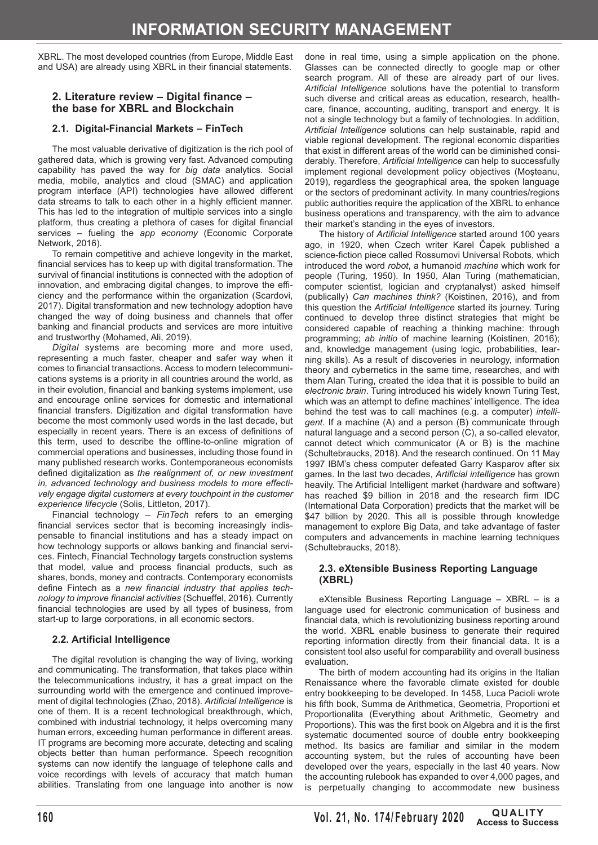XBRL. The most developed countries (from Europe, Middle East and USA) are already using XBRL in their financial statements.

### **2. Literature review – Digital finance – the base for XBRL and Blockchain**

### **2.1. Digital-Financial Markets – FinTech**

The most valuable derivative of digitization is the rich pool of gathered data, which is growing very fast. Advanced computing capability has paved the way for *big data* analytics. Social media, mobile, analytics and cloud (SMAC) and application program interface (API) technologies have allowed different data streams to talk to each other in a highly efficient manner. This has led to the integration of multiple services into a single platform, thus creating a plethora of cases for digital financial services – fueling the *app economy* (Economic Corporate Network, 2016).

To remain competitive and achieve longevity in the market, financial services has to keep up with digital transformation. The survival of financial institutions is connected with the adoption of innovation, and embracing digital changes, to improve the efficiency and the performance within the organization (Scardovi, 2017). Digital transformation and new technology adoption have changed the way of doing business and channels that offer banking and financial products and services are more intuitive and trustworthy (Mohamed, Ali, 2019).

*Digital* systems are becoming more and more used, representing a much faster, cheaper and safer way when it comes to financial transactions. Access to modern telecommunications systems is a priority in all countries around the world, as in their evolution, financial and banking systems implement, use and encourage online services for domestic and international financial transfers. Digitization and digital transformation have become the most commonly used words in the last decade, but especially in recent years. There is an excess of definitions of this term, used to describe the offline-to-online migration of commercial operations and businesses, including those found in many published research works. Contemporaneous economists defined digitalization as *the realignment of, or new investment in, advanced technology and business models to more effectively engage digital customers at every touchpoint in the customer experience lifecycle* (Solis, Littleton, 2017).

Financial technology – *FinTech* refers to an emerging financial services sector that is becoming increasingly indispensable to financial institutions and has a steady impact on how technology supports or allows banking and financial services. Fintech, Financial Technology targets construction systems that model, value and process financial products, such as shares, bonds, money and contracts. Contemporary economists define Fintech as a *new financial industry that applies technology to improve financial activities* (Schueffel, 2016). Currently financial technologies are used by all types of business, from start-up to large corporations, in all economic sectors.

# **2.2. Artificial Intelligence**

The digital revolution is changing the way of living, working and communicating. The transformation, that takes place within the telecommunications industry, it has a great impact on the surrounding world with the emergence and continued improvement of digital technologies (Zhao, 2018). *Artificial Intelligence* is one of them. It is a recent technological breakthrough, which, combined with industrial technology, it helps overcoming many human errors, exceeding human performance in different areas. IT programs are becoming more accurate, detecting and scaling objects better than human performance. Speech recognition systems can now identify the language of telephone calls and voice recordings with levels of accuracy that match human abilities. Translating from one language into another is now

done in real time, using a simple application on the phone. Glasses can be connected directly to google map or other search program. All of these are already part of our lives. *Artificial Intelligence* solutions have the potential to transform such diverse and critical areas as education, research, healthcare, finance, accounting, auditing, transport and energy. It is not a single technology but a family of technologies. In addition, *Artificial Intelligence* solutions can help sustainable, rapid and viable regional development. The regional economic disparities that exist in different areas of the world can be diminished considerably. Therefore, *Artificial Intelligence* can help to successfully implement regional development policy objectives (Mosteanu, 2019), regardless the geographical area, the spoken language or the sectors of predominant activity. In many countries/regions public authorities require the application of the XBRL to enhance business operations and transparency, with the aim to advance their market's standing in the eyes of investors.

The history of *Artificial Intelligence* started around 100 years ago, in 1920, when Czech writer Karel Čapek published a science-fiction piece called Rossumovi Universal Robots, which introduced the word *robot*, a humanoid *machine* which work for people (Turing, 1950). In 1950, Alan Turing (mathematician, computer scientist, logician and cryptanalyst) asked himself (publically) *Can machines think?* (Koistinen, 2016), and from this question the *Artificial Intelligence* started its journey. Turing continued to develop three distinct strategies that might be considered capable of reaching a thinking machine: through programming; *ab initio* of machine learning (Koistinen, 2016); and, knowledge management (using logic, probabilities, learning skills). As a result of discoveries in neurology, information theory and cybernetics in the same time, researches, and with them Alan Turing, created the idea that it is possible to build an *electronic brain*. Turing introduced his widely known Turing Test, which was an attempt to define machines' intelligence. The idea behind the test was to call machines (e.g. a computer) *intelligent*. If a machine (A) and a person (B) communicate through natural language and a second person (C), a so-called elevator, cannot detect which communicator (A or B) is the machine (Schultebraucks, 2018). And the research continued. On 11 May 1997 IBM's chess computer defeated Garry Kasparov after six games. In the last two decades, *Artificial intelligence* has grown heavily. The Artificial Intelligent market (hardware and software) has reached \$9 billion in 2018 and the research firm IDC (International Data Corporation) predicts that the market will be \$47 billion by 2020. This all is possible through knowledge management to explore Big Data, and take advantage of faster computers and advancements in machine learning techniques (Schultebraucks, 2018).

#### **2.3. eXtensible Business Reporting Language (XBRL)**

eXtensible Business Reporting Language – XBRL – is a language used for electronic communication of business and financial data, which is revolutionizing business reporting around the world. XBRL enable business to generate their required reporting information directly from their financial data. It is a consistent tool also useful for comparability and overall business evaluation.

The birth of modern accounting had its origins in the Italian Renaissance where the favorable climate existed for double entry bookkeeping to be developed. In 1458, Luca Pacioli wrote his fifth book, Summa de Arithmetica, Geometria, Proportioni et Proportionalita (Everything about Arithmetic, Geometry and Proportions). This was the first book on Algebra and it is the first systematic documented source of double entry bookkeeping method. Its basics are familiar and similar in the modern accounting system, but the rules of accounting have been developed over the years, especially in the last 40 years. Now the accounting rulebook has expanded to over 4,000 pages, and is perpetually changing to accommodate new business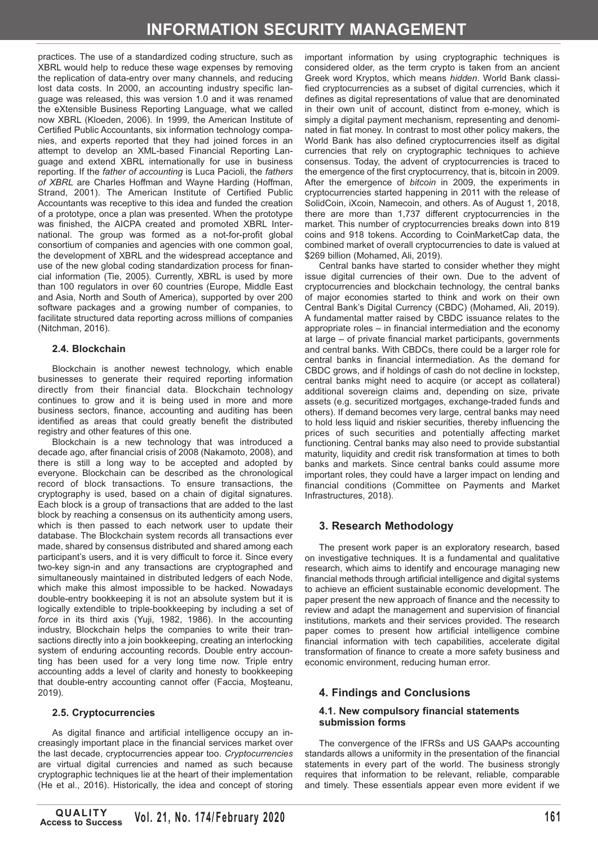practices. The use of a standardized coding structure, such as XBRL would help to reduce these wage expenses by removing the replication of data-entry over many channels, and reducing lost data costs. In 2000, an accounting industry specific language was released, this was version 1.0 and it was renamed the eXtensible Business Reporting Language, what we called now XBRL (Kloeden, 2006). In 1999, the American Institute of Certified Public Accountants, six information technology companies, and experts reported that they had joined forces in an attempt to develop an XML-based Financial Reporting Language and extend XBRL internationally for use in business reporting. If the *father of accounting* is Luca Pacioli, the *fathers of XBRL* are Charles Hoffman and Wayne Harding (Hoffman, Strand, 2001). The American Institute of Certified Public Accountants was receptive to this idea and funded the creation of a prototype, once a plan was presented. When the prototype was finished, the AICPA created and promoted XBRL International. The group was formed as a not-for-profit global consortium of companies and agencies with one common goal, the development of XBRL and the widespread acceptance and use of the new global coding standardization process for financial information (Tie, 2005). Currently, XBRL is used by more than 100 regulators in over 60 countries (Europe, Middle East and Asia, North and South of America), supported by over 200 software packages and a growing number of companies, to facilitate structured data reporting across millions of companies (Nitchman, 2016).

### **2.4. Blockchain**

Blockchain is another newest technology, which enable businesses to generate their required reporting information directly from their financial data. Blockchain technology continues to grow and it is being used in more and more business sectors, finance, accounting and auditing has been identified as areas that could greatly benefit the distributed registry and other features of this one.

Blockchain is a new technology that was introduced a decade ago, after financial crisis of 2008 (Nakamoto, 2008), and there is still a long way to be accepted and adopted by everyone. Blockchain can be described as the chronological record of block transactions. To ensure transactions, the cryptography is used, based on a chain of digital signatures. Each block is a group of transactions that are added to the last block by reaching a consensus on its authenticity among users, which is then passed to each network user to update their database. The Blockchain system records all transactions ever made, shared by consensus distributed and shared among each participant's users, and it is very difficult to force it. Since every two-key sign-in and any transactions are cryptographed and simultaneously maintained in distributed ledgers of each Node, which make this almost impossible to be hacked. Nowadays double-entry bookkeeping it is not an absolute system but it is logically extendible to triple-bookkeeping by including a set of *force* in its third axis (Yuji, 1982, 1986). In the accounting industry, Blockchain helps the companies to write their transactions directly into a join bookkeeping, creating an interlocking system of enduring accounting records. Double entry accounting has been used for a very long time now. Triple entry accounting adds a level of clarity and honesty to bookkeeping that double-entry accounting cannot offer (Faccia, Moşteanu, 2019).

#### **2.5. Cryptocurrencies**

As digital finance and artificial intelligence occupy an increasingly important place in the financial services market over the last decade, cryptocurrencies appear too. *Cryptocurrencies*  are virtual digital currencies and named as such because cryptographic techniques lie at the heart of their implementation (He et al., 2016). Historically, the idea and concept of storing

important information by using cryptographic techniques is considered older, as the term crypto is taken from an ancient Greek word Kryptos, which means *hidden*. World Bank classified cryptocurrencies as a subset of digital currencies, which it defines as digital representations of value that are denominated in their own unit of account, distinct from e-money, which is simply a digital payment mechanism, representing and denominated in fiat money. In contrast to most other policy makers, the World Bank has also defined cryptocurrencies itself as digital currencies that rely on cryptographic techniques to achieve consensus. Today, the advent of cryptocurrencies is traced to the emergence of the first cryptocurrency, that is, bitcoin in 2009. After the emergence of *bitcoin* in 2009, the experiments in cryptocurrencies started happening in 2011 with the release of SolidCoin, iXcoin, Namecoin, and others. As of August 1, 2018, there are more than 1,737 different cryptocurrencies in the market. This number of cryptocurrencies breaks down into 819 coins and 918 tokens. According to CoinMarketCap data, the combined market of overall cryptocurrencies to date is valued at \$269 billion (Mohamed, Ali, 2019).

Central banks have started to consider whether they might issue digital currencies of their own. Due to the advent of cryptocurrencies and blockchain technology, the central banks of major economies started to think and work on their own Central Bank's Digital Currency (CBDC) (Mohamed, Ali, 2019). A fundamental matter raised by CBDC issuance relates to the appropriate roles – in financial intermediation and the economy at large – of private financial market participants, governments and central banks. With CBDCs, there could be a larger role for central banks in financial intermediation. As the demand for CBDC grows, and if holdings of cash do not decline in lockstep, central banks might need to acquire (or accept as collateral) additional sovereign claims and, depending on size, private assets (e.g. securitized mortgages, exchange-traded funds and others). If demand becomes very large, central banks may need to hold less liquid and riskier securities, thereby influencing the prices of such securities and potentially affecting market functioning. Central banks may also need to provide substantial maturity, liquidity and credit risk transformation at times to both banks and markets. Since central banks could assume more important roles, they could have a larger impact on lending and financial conditions (Committee on Payments and Market Infrastructures, 2018).

# **3. Research Methodology**

The present work paper is an exploratory research, based on investigative techniques. It is a fundamental and qualitative research, which aims to identify and encourage managing new financial methods through artificial intelligence and digital systems to achieve an efficient sustainable economic development. The paper present the new approach of finance and the necessity to review and adapt the management and supervision of financial institutions, markets and their services provided. The research paper comes to present how artificial intelligence combine financial information with tech capabilities, accelerate digital transformation of finance to create a more safety business and economic environment, reducing human error.

# **4. Findings and Conclusions**

#### **4.1. New compulsory financial statements submission forms**

The convergence of the IFRSs and US GAAPs accounting standards allows a uniformity in the presentation of the financial statements in every part of the world. The business strongly requires that information to be relevant, reliable, comparable and timely. These essentials appear even more evident if we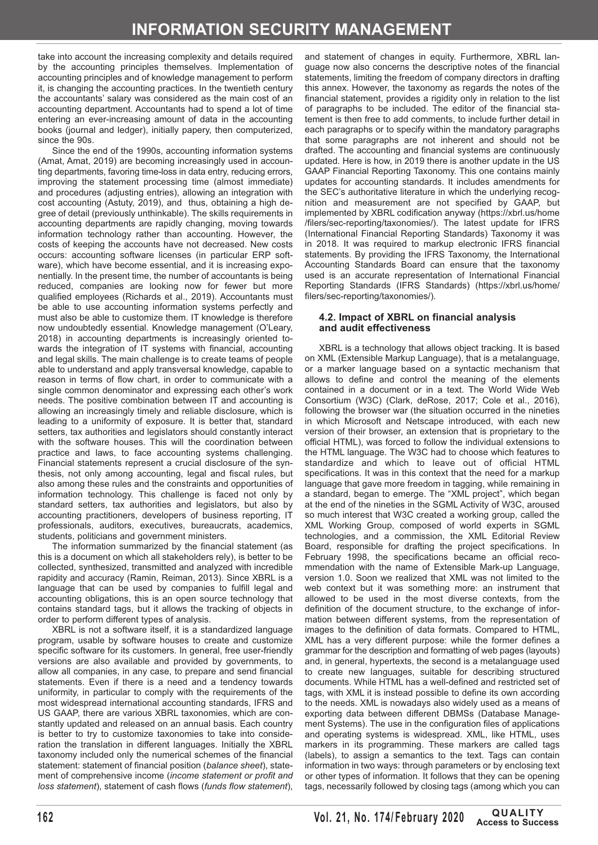take into account the increasing complexity and details required by the accounting principles themselves. Implementation of accounting principles and of knowledge management to perform it, is changing the accounting practices. In the twentieth century the accountants' salary was considered as the main cost of an accounting department. Accountants had to spend a lot of time entering an ever-increasing amount of data in the accounting books (journal and ledger), initially papery, then computerized, since the 90s.

Since the end of the 1990s, accounting information systems (Amat, Amat, 2019) are becoming increasingly used in accounting departments, favoring time-loss in data entry, reducing errors, improving the statement processing time (almost immediate) and procedures (adjusting entries), allowing an integration with cost accounting (Astuty, 2019), and thus, obtaining a high degree of detail (previously unthinkable). The skills requirements in accounting departments are rapidly changing, moving towards information technology rather than accounting. However, the costs of keeping the accounts have not decreased. New costs occurs: accounting software licenses (in particular ERP software), which have become essential, and it is increasing exponentially. In the present time, the number of accountants is being reduced, companies are looking now for fewer but more qualified employees (Richards et al., 2019). Accountants must be able to use accounting information systems perfectly and must also be able to customize them. IT knowledge is therefore now undoubtedly essential. Knowledge management (O'Leary, 2018) in accounting departments is increasingly oriented towards the integration of IT systems with financial, accounting and legal skills. The main challenge is to create teams of people able to understand and apply transversal knowledge, capable to reason in terms of flow chart, in order to communicate with a single common denominator and expressing each other's work needs. The positive combination between IT and accounting is allowing an increasingly timely and reliable disclosure, which is leading to a uniformity of exposure. It is better that, standard setters, tax authorities and legislators should constantly interact with the software houses. This will the coordination between practice and laws, to face accounting systems challenging. Financial statements represent a crucial disclosure of the synthesis, not only among accounting, legal and fiscal rules, but also among these rules and the constraints and opportunities of information technology. This challenge is faced not only by standard setters, tax authorities and legislators, but also by accounting practitioners, developers of business reporting, IT professionals, auditors, executives, bureaucrats, academics, students, politicians and government ministers.

The information summarized by the financial statement (as this is a document on which all stakeholders rely), is better to be collected, synthesized, transmitted and analyzed with incredible rapidity and accuracy (Ramin, Reiman, 2013). Since XBRL is a language that can be used by companies to fulfill legal and accounting obligations, this is an open source technology that contains standard tags, but it allows the tracking of objects in order to perform different types of analysis.

XBRL is not a software itself, it is a standardized language program, usable by software houses to create and customize specific software for its customers. In general, free user-friendly versions are also available and provided by governments, to allow all companies, in any case, to prepare and send financial statements. Even if there is a need and a tendency towards uniformity, in particular to comply with the requirements of the most widespread international accounting standards, IFRS and US GAAP, there are various XBRL taxonomies, which are constantly updated and released on an annual basis. Each country is better to try to customize taxonomies to take into consideration the translation in different languages. Initially the XBRL taxonomy included only the numerical schemes of the financial statement: statement of financial position (*balance sheet*), statement of comprehensive income (*income statement or profit and loss statement*), statement of cash flows (*funds flow statement*), and statement of changes in equity. Furthermore, XBRL language now also concerns the descriptive notes of the financial statements, limiting the freedom of company directors in drafting this annex. However, the taxonomy as regards the notes of the financial statement, provides a rigidity only in relation to the list of paragraphs to be included. The editor of the financial statement is then free to add comments, to include further detail in each paragraphs or to specify within the mandatory paragraphs that some paragraphs are not inherent and should not be drafted. The accounting and financial systems are continuously updated. Here is how, in 2019 there is another update in the US GAAP Financial Reporting Taxonomy. This one contains mainly updates for accounting standards. It includes amendments for the SEC's authoritative literature in which the underlying recognition and measurement are not specified by GAAP, but implemented by XBRL codification anyway (<https://xbrl.us/home> /filers/sec-reporting/taxonomies/). The latest update for IFRS (International Financial Reporting Standards) Taxonomy it was in 2018. It was required to markup electronic IFRS financial statements. By providing the IFRS Taxonomy, the International Accounting Standards Board can ensure that the taxonomy used is an accurate representation of International Financial Reporting Standards (IFRS Standards) [\(https://xbrl.us/home/](https://xbrl.us/home) filers/sec-reporting/taxonomies/).

#### **4.2. Impact of XBRL on financial analysis and audit effectiveness**

XBRL is a technology that allows object tracking. It is based on XML (Extensible Markup Language), that is a metalanguage, or a marker language based on a syntactic mechanism that allows to define and control the meaning of the elements contained in a document or in a text. The World Wide Web Consortium (W3C) (Clark, deRose, 2017; Cole et al., 2016), following the browser war (the situation occurred in the nineties in which Microsoft and Netscape introduced, with each new version of their browser, an extension that is proprietary to the official HTML), was forced to follow the individual extensions to the HTML language. The W3C had to choose which features to standardize and which to leave out of official HTML specifications. It was in this context that the need for a markup language that gave more freedom in tagging, while remaining in a standard, began to emerge. The "XML project", which began at the end of the nineties in the SGML Activity of W3C, aroused so much interest that W3C created a working group, called the XML Working Group, composed of world experts in SGML technologies, and a commission, the XML Editorial Review Board, responsible for drafting the project specifications. In February 1998, the specifications became an official recommendation with the name of Extensible Mark-up Language, version 1.0. Soon we realized that XML was not limited to the web context but it was something more: an instrument that allowed to be used in the most diverse contexts, from the definition of the document structure, to the exchange of information between different systems, from the representation of images to the definition of data formats. Compared to HTML, XML has a very different purpose: while the former defines a grammar for the description and formatting of web pages (layouts) and, in general, hypertexts, the second is a metalanguage used to create new languages, suitable for describing structured documents. While HTML has a well-defined and restricted set of tags, with XML it is instead possible to define its own according to the needs. XML is nowadays also widely used as a means of exporting data between different DBMSs (Database Management Systems). The use in the configuration files of applications and operating systems is widespread. XML, like HTML, uses markers in its programming. These markers are called tags (labels), to assign a semantics to the text. Tags can contain information in two ways: through parameters or by enclosing text or other types of information. It follows that they can be opening tags, necessarily followed by closing tags (among which you can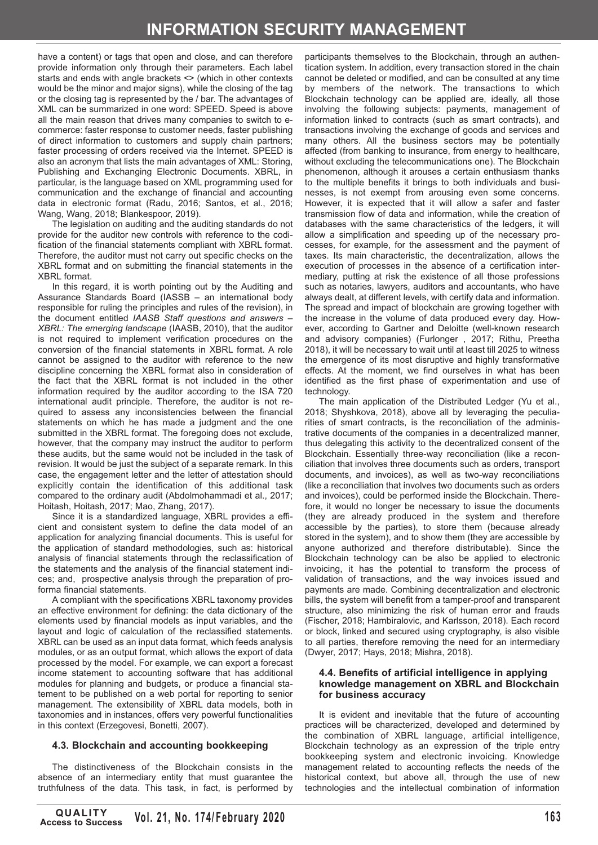have a content) or tags that open and close, and can therefore provide information only through their parameters. Each label starts and ends with angle brackets <> (which in other contexts would be the minor and major signs), while the closing of the tag or the closing tag is represented by the / bar. The advantages of XML can be summarized in one word: SPEED. Speed is above all the main reason that drives many companies to switch to ecommerce: faster response to customer needs, faster publishing of direct information to customers and supply chain partners; faster processing of orders received via the Internet. SPEED is also an acronym that lists the main advantages of XML: Storing, Publishing and Exchanging Electronic Documents. XBRL, in particular, is the language based on XML programming used for communication and the exchange of financial and accounting data in electronic format (Radu, 2016; Santos, et al., 2016; Wang, Wang, 2018; Blankespoor, 2019).

The legislation on auditing and the auditing standards do not provide for the auditor new controls with reference to the codification of the financial statements compliant with XBRL format. Therefore, the auditor must not carry out specific checks on the XBRL format and on submitting the financial statements in the XBRL format.

In this regard, it is worth pointing out by the Auditing and Assurance Standards Board (IASSB – an international body responsible for ruling the principles and rules of the revision), in the document entitled *IAASB Staff questions and answers – XBRL: The emerging landscape* (IAASB, 2010), that the auditor is not required to implement verification procedures on the conversion of the financial statements in XBRL format. A role cannot be assigned to the auditor with reference to the new discipline concerning the XBRL format also in consideration of the fact that the XBRL format is not included in the other information required by the auditor according to the ISA 720 international audit principle. Therefore, the auditor is not required to assess any inconsistencies between the financial statements on which he has made a judgment and the one submitted in the XBRL format. The foregoing does not exclude, however, that the company may instruct the auditor to perform these audits, but the same would not be included in the task of revision. It would be just the subject of a separate remark. In this case, the engagement letter and the letter of attestation should explicitly contain the identification of this additional task compared to the ordinary audit (Abdolmohammadi et al., 2017; Hoitash, Hoitash, 2017; Mao, Zhang, 2017).

Since it is a standardized language, XBRL provides a efficient and consistent system to define the data model of an application for analyzing financial documents. This is useful for the application of standard methodologies, such as: historical analysis of financial statements through the reclassification of the statements and the analysis of the financial statement indices; and, prospective analysis through the preparation of proforma financial statements.

A compliant with the specifications XBRL taxonomy provides an effective environment for defining: the data dictionary of the elements used by financial models as input variables, and the layout and logic of calculation of the reclassified statements. XBRL can be used as an input data format, which feeds analysis modules, or as an output format, which allows the export of data processed by the model. For example, we can export a forecast income statement to accounting software that has additional modules for planning and budgets, or produce a financial statement to be published on a web portal for reporting to senior management. The extensibility of XBRL data models, both in taxonomies and in instances, offers very powerful functionalities in this context (Erzegovesi, Bonetti, 2007).

# **4.3. Blockchain and accounting bookkeeping**

The distinctiveness of the Blockchain consists in the absence of an intermediary entity that must guarantee the truthfulness of the data. This task, in fact, is performed by participants themselves to the Blockchain, through an authentication system. In addition, every transaction stored in the chain cannot be deleted or modified, and can be consulted at any time by members of the network. The transactions to which Blockchain technology can be applied are, ideally, all those involving the following subjects: payments, management of information linked to contracts (such as smart contracts), and transactions involving the exchange of goods and services and many others. All the business sectors may be potentially affected (from banking to insurance, from energy to healthcare, without excluding the telecommunications one). The Blockchain phenomenon, although it arouses a certain enthusiasm thanks to the multiple benefits it brings to both individuals and businesses, is not exempt from arousing even some concerns. However, it is expected that it will allow a safer and faster transmission flow of data and information, while the creation of databases with the same characteristics of the ledgers, it will allow a simplification and speeding up of the necessary processes, for example, for the assessment and the payment of taxes. Its main characteristic, the decentralization, allows the execution of processes in the absence of a certification intermediary, putting at risk the existence of all those professions such as notaries, lawyers, auditors and accountants, who have always dealt, at different levels, with certify data and information. The spread and impact of blockchain are growing together with the increase in the volume of data produced every day. However, according to Gartner and Deloitte (well-known research and advisory companies) (Furlonger , 2017; Rithu, Preetha 2018), it will be necessary to wait until at least till 2025 to witness the emergence of its most disruptive and highly transformative effects. At the moment, we find ourselves in what has been identified as the first phase of experimentation and use of technology.

The main application of the Distributed Ledger (Yu et al., 2018; Shyshkova, 2018), above all by leveraging the peculiarities of smart contracts, is the reconciliation of the administrative documents of the companies in a decentralized manner, thus delegating this activity to the decentralized consent of the Blockchain. Essentially three-way reconciliation (like a reconciliation that involves three documents such as orders, transport documents, and invoices), as well as two-way reconciliations (like a reconciliation that involves two documents such as orders and invoices), could be performed inside the Blockchain. Therefore, it would no longer be necessary to issue the documents (they are already produced in the system and therefore accessible by the parties), to store them (because already stored in the system), and to show them (they are accessible by anyone authorized and therefore distributable). Since the Blockchain technology can be also be applied to electronic invoicing, it has the potential to transform the process of validation of transactions, and the way invoices issued and payments are made. Combining decentralization and electronic bills, the system will benefit from a tamper-proof and transparent structure, also minimizing the risk of human error and frauds (Fischer, 2018; Hambiralovic, and Karlsson, 2018). Each record or block, linked and secured using cryptography, is also visible to all parties, therefore removing the need for an intermediary (Dwyer, 2017; Hays, 2018; Mishra, 2018).

#### **4.4. Benefits of artificial intelligence in applying knowledge management on XBRL and Blockchain for business accuracy**

It is evident and inevitable that the future of accounting practices will be characterized, developed and determined by the combination of XBRL language, artificial intelligence, Blockchain technology as an expression of the triple entry bookkeeping system and electronic invoicing. Knowledge management related to accounting reflects the needs of the historical context, but above all, through the use of new technologies and the intellectual combination of information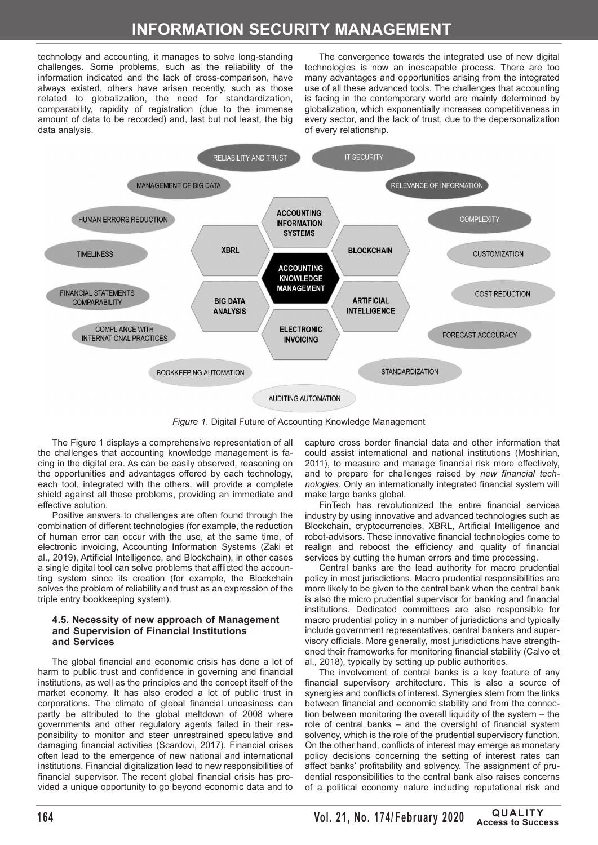# **INFORMATION SECURITY MANAGEMENT**

technology and accounting, it manages to solve long-standing challenges. Some problems, such as the reliability of the information indicated and the lack of cross-comparison, have always existed, others have arisen recently, such as those related to globalization, the need for standardization, comparability, rapidity of registration (due to the immense amount of data to be recorded) and, last but not least, the big data analysis.

The convergence towards the integrated use of new digital technologies is now an inescapable process. There are too many advantages and opportunities arising from the integrated use of all these advanced tools. The challenges that accounting is facing in the contemporary world are mainly determined by globalization, which exponentially increases competitiveness in every sector, and the lack of trust, due to the depersonalization of every relationship.



*Figure 1*. Digital Future of Accounting Knowledge Management

The Figure 1 displays a comprehensive representation of all the challenges that accounting knowledge management is facing in the digital era. As can be easily observed, reasoning on the opportunities and advantages offered by each technology, each tool, integrated with the others, will provide a complete shield against all these problems, providing an immediate and effective solution.

Positive answers to challenges are often found through the combination of different technologies (for example, the reduction of human error can occur with the use, at the same time, of electronic invoicing, Accounting Information Systems (Zaki et al., 2019), Artificial Intelligence, and Blockchain), in other cases a single digital tool can solve problems that afflicted the accounting system since its creation (for example, the Blockchain solves the problem of reliability and trust as an expression of the triple entry bookkeeping system).

#### **4.5. Necessity of new approach of Management and Supervision of Financial Institutions and Services**

The global financial and economic crisis has done a lot of harm to public trust and confidence in governing and financial institutions, as well as the principles and the concept itself of the market economy. It has also eroded a lot of public trust in corporations. The climate of global financial uneasiness can partly be attributed to the global meltdown of 2008 where governments and other regulatory agents failed in their responsibility to monitor and steer unrestrained speculative and damaging financial activities (Scardovi, 2017). Financial crises often lead to the emergence of new national and international institutions. Financial digitalization lead to new responsibilities of financial supervisor. The recent global financial crisis has provided a unique opportunity to go beyond economic data and to

capture cross border financial data and other information that could assist international and national institutions (Moshirian, 2011), to measure and manage financial risk more effectively, and to prepare for challenges raised by *new financial technologies*. Only an internationally integrated financial system will make large banks global.

FinTech has revolutionized the entire financial services industry by using innovative and advanced technologies such as Blockchain, cryptocurrencies, XBRL, Artificial Intelligence and robot-advisors. These innovative financial technologies come to realign and reboost the efficiency and quality of financial services by cutting the human errors and time processing.

Central banks are the lead authority for macro prudential policy in most jurisdictions. Macro prudential responsibilities are more likely to be given to the central bank when the central bank is also the micro prudential supervisor for banking and financial institutions. Dedicated committees are also responsible for macro prudential policy in a number of jurisdictions and typically include government representatives, central bankers and supervisory officials. More generally, most jurisdictions have strengthened their frameworks for monitoring financial stability (Calvo et al., 2018), typically by setting up public authorities.

The involvement of central banks is a key feature of any financial supervisory architecture. This is also a source of synergies and conflicts of interest. Synergies stem from the links between financial and economic stability and from the connection between monitoring the overall liquidity of the system – the role of central banks – and the oversight of financial system solvency, which is the role of the prudential supervisory function. On the other hand, conflicts of interest may emerge as monetary policy decisions concerning the setting of interest rates can affect banks' profitability and solvency. The assignment of prudential responsibilities to the central bank also raises concerns of a political economy nature including reputational risk and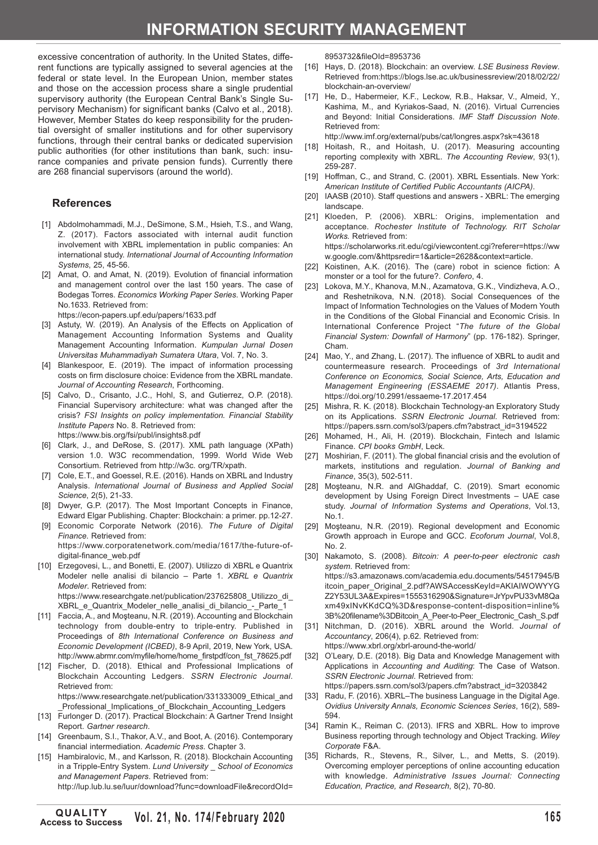# **INFORMATION SECURITY MANAGEMENT**

excessive concentration of authority. In the United States, different functions are typically assigned to several agencies at the federal or state level. In the European Union, member states and those on the accession process share a single prudential supervisory authority (the European Central Bank's Single Supervisory Mechanism) for significant banks (Calvo et al., 2018). However, Member States do keep responsibility for the prudential oversight of smaller institutions and for other supervisory functions, through their central banks or dedicated supervision public authorities (for other institutions than bank, such: insurance companies and private pension funds). Currently there are 268 financial supervisors (around the world).

#### **References**

- [1] Abdolmohammadi, M.J., DeSimone, S.M., Hsieh, T.S., and Wang, Z. (2017). Factors associated with internal audit function involvement with XBRL implementation in public companies: An international study. *International Journal of Accounting Information Systems*, 25, 45-56.
- [2] Amat, O. and Amat, N. (2019). Evolution of financial information and management control over the last 150 years. The case of Bodegas Torres. *Economics Working Paper Series*. Working Paper No.1633. Retrieved from: <https://econ-papers.upf.edu/papers/1633.pdf>
- [3] Astuty, W. (2019). An Analysis of the Effects on Application of Management Accounting Information Systems and Quality Management Accounting Information. *Kumpulan Jurnal Dosen Universitas Muhammadiyah Sumatera Utara*, Vol. 7, No. 3.
- [4] Blankespoor, E. (2019). The impact of information processing costs on firm disclosure choice: Evidence from the XBRL mandate. *Journal of Accounting Research*, Forthcoming.
- [5] Calvo, D., Crisanto, J.C., Hohl, S, and Gutierrez, O.P. (2018). Financial Supervisory architecture: what was changed after the crisis? *FSI Insights on policy implementation. Financial Stability Institute Papers* No. 8. Retrieved from: <https://www.bis.org/fsi/publ/insights8.pdf>
- [6] Clark, J., and DeRose, S. (2017). XML path language (XPath) version 1.0. W3C recommendation, 1999. World Wide Web Consortium. Retrieved from [http://w3c.](http://w3c) org/TR/xpath.
- [7] Cole, E.T., and Goessel, R.E. (2016). Hands on XBRL and Industry Analysis. *International Journal of Business and Applied Social Science*, 2(5), 21-33.
- [8] Dwyer, G.P. (2017). The Most Important Concepts in Finance, Edward Elgar Publishing. Chapter: Blockchain: a primer. pp.12-27.
- [9] Economic Corporate Network (2016). *The Future of Digital Finance*. Retrieved from: [https://www.corporatenetwork.com/media/1617/the-future-of-](https://www.corporatenetwork.com/media/1617/the-future-of)
- digital-finance\_web.pdf [10] Erzegovesi, L., and Bonetti, E. (2007). Utilizzo di XBRL e Quantrix Modeler nelle analisi di bilancio – Parte 1. *XBRL e Quantrix Modeler*. Retrieved from: [https://www.researchgate.net/publication/237625808\\_Utilizzo\\_di](https://www.researchgate.net/publication/237625808_Utilizzo_di)
- XBRL e Quantrix Modeler nelle analisi di bilancio Parte 1 [11] Faccia, A., and Mosteanu, N.R. (2019). Accounting and Blockchain technology from double-entry to triple-entry. Published in Proceedings of *8th International Conference on Business and Economic Development (ICBED)*, 8-9 April, 2019, New York, USA.
- [http://www.abrmr.com/myfile/home/home\\_firstpdf/con\\_fst\\_78625.pdf](http://www.abrmr.com/myfile/home/home_firstpdf/con_fst_78625.pdf) [12] Fischer, D. (2018). Ethical and Professional Implications of Blockchain Accounting Ledgers. *SSRN Electronic Journal*. Retrieved from:

https://www.researchgate.net/publication/331333009 Ethical and \_Professional\_Implications\_of\_Blockchain\_Accounting\_Ledgers

- [13] Furlonger D. (2017). Practical Blockchain: A Gartner Trend Insight Report. *Gartner research*.
- [14] Greenbaum, S.I., Thakor, A.V., and Boot, A. (2016). Contemporary financial intermediation. *Academic Press*. Chapter 3.
- [15] Hambiralovic, M., and Karlsson, R. (2018). Blockchain Accounting in a Tripple-Entry System. *Lund University \_ School of Economics and Management Papers*. Retrieved from: <http://lup.lub.lu.se/luur/download?func=downloadFile&recordOId>=

8953732&fileOId=8953736

- [16] Hays, D. (2018). Blockchain: an overview. *LSE Business Review*. Retrieved from:https://blogs.lse.ac.uk/businessreview/2018/02/22/ blockchain-an-overview/
- [17] He, D., Habermeier, K.F., Leckow, R.B., Haksar, V., Almeid, Y., Kashima, M., and Kyriakos-Saad, N. (2016). Virtual Currencies and Beyond: Initial Considerations. *IMF Staff Discussion Note*. Retrieved from:

<http://www.imf.org/external/pubs/cat/longres.aspx?sk=43618>

- [18] Hoitash, R., and Hoitash, U. (2017). Measuring accounting reporting complexity with XBRL. *The Accounting Review*, 93(1), 259-287.
- [19] Hoffman, C., and Strand, C. (2001). XBRL Essentials. New York: *American Institute of Certified Public Accountants (AICPA)*.
- [20] IAASB (2010). Staff questions and answers XBRL: The emerging landscane
- [21] Kloeden, P. (2006). XBRL: Origins, implementation and acceptance. *Rochester Institute of Technology. RIT Scholar Works.* Retrieved from: <https://scholarworks.rit.edu/cgi/viewcontent.cgi?referer=https://ww> w.google.com/&httpsredir=1&article=2628&context=article.
- [22] Koistinen, A.K. (2016). The (care) robot in science fiction: A monster or a tool for the future?. *Confero*, 4.
- [23] Lokova, M.Y., Khanova, M.N., Azamatova, G.K., Vindizheva, A.O., and Reshetnikova, N.N. (2018). Social Consequences of the Impact of Information Technologies on the Values of Modern Youth in the Conditions of the Global Financial and Economic Crisis. In International Conference Project "*The future of the Global Financial System: Downfall of Harmony*" (pp. 176-182). Springer, Cham.
- [24] Mao, Y., and Zhang, L. (2017). The influence of XBRL to audit and countermeasure research. Proceedings of *3rd International Conference on Economics, Social Science, Arts, Education and Management Engineering (ESSAEME 2017)*. Atlantis Press, <https://doi.org/10.2991/essaeme-17.2017.454>
- [25] Mishra, R. K. (2018). Blockchain Technology-an Exploratory Study on its Applications. *SSRN Electronic Journal*. Retrieved from: [https://papers.ssrn.com/sol3/papers.cfm?abstract\\_id=3194522](https://papers.ssrn.com/sol3/papers.cfm?abstract_id=3194522)
- [26] Mohamed, H., Ali, H. (2019). Blockchain, Fintech and Islamic Finance. *CPI books GmbH*, Leck.
- [27] Moshirian, F. (2011). The global financial crisis and the evolution of markets, institutions and regulation. *Journal of Banking and Finance*, 35(3), 502-511.
- [28] Moşteanu, N.R. and AlGhaddaf, C. (2019). Smart economic development by Using Foreign Direct Investments – UAE case study. *Journal of Information Systems and Operations*, Vol.13, No.1.
- [29] Mosteanu, N.R. (2019). Regional development and Economic Growth approach in Europe and GCC. *Ecoforum Journal*, Vol.8, No. 2.
- [30] Nakamoto, S. (2008). *Bitcoin: A peer-to-peer electronic cash system*. Retrieved from: <https://s3.amazonaws.com/academia.edu.documents/54517945/B> itcoin\_paper\_Original\_2.pdf?AWSAccessKeyId=AKIAIWOWYYG Z2Y53UL3A&Expires=1555316290&Signature=JrYpvPU33vM8Qa xm49xINvKKdCQ%3D&response-content-disposition=inline% 3B%20filename%3DBitcoin\_A\_Peer-to-Peer\_Electronic\_Cash\_S.pdf
- [31] Nitchman, D. (2016). XBRL around the World. *Journal of Accountancy*, 206(4), p.62. Retrieved from: <https://www.xbrl.org/xbrl-around-the-world>/
- [32] O'Leary, D.E. (2018). Big Data and Knowledge Management with Applications in *Accounting and Auditing*: The Case of Watson. *SSRN Electronic Journal*. Retrieved from: [https://papers.ssrn.com/sol3/papers.cfm?abstract\\_id=3203842](https://papers.ssrn.com/sol3/papers.cfm?abstract_id=3203842)
- [33] Radu, F. (2016). XBRL-The business Language in the Digital Age. *Ovidius University Annals, Economic Sciences Series*, 16(2), 589- 594.
- [34] Ramin K., Reiman C. (2013). IFRS and XBRL. How to improve Business reporting through technology and Object Tracking. *Wiley Corporate* F&A.
- [35] Richards, R., Stevens, R., Silver, L., and Metts, S. (2019). Overcoming employer perceptions of online accounting education with knowledge. *Administrative Issues Journal: Connecting Education, Practice, and Research*, 8(2), 70-80.